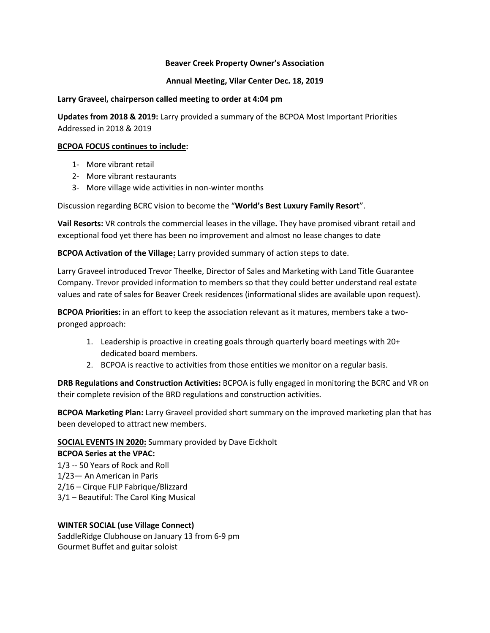### **Beaver Creek Property Owner's Association**

### **Annual Meeting, Vilar Center Dec. 18, 2019**

### **Larry Graveel, chairperson called meeting to order at 4:04 pm**

**Updates from 2018 & 2019:** Larry provided a summary of the BCPOA Most Important Priorities Addressed in 2018 & 2019

### **BCPOA FOCUS continues to include:**

- 1- More vibrant retail
- 2- More vibrant restaurants
- 3- More village wide activities in non-winter months

Discussion regarding BCRC vision to become the "**World's Best Luxury Family Resort**".

**Vail Resorts:** VR controls the commercial leases in the village**.** They have promised vibrant retail and exceptional food yet there has been no improvement and almost no lease changes to date

**BCPOA Activation of the Village:** Larry provided summary of action steps to date.

Larry Graveel introduced Trevor Theelke, Director of Sales and Marketing with Land Title Guarantee Company. Trevor provided information to members so that they could better understand real estate values and rate of sales for Beaver Creek residences (informational slides are available upon request).

**BCPOA Priorities:** in an effort to keep the association relevant as it matures, members take a twopronged approach:

- 1. Leadership is proactive in creating goals through quarterly board meetings with 20+ dedicated board members.
- 2. BCPOA is reactive to activities from those entities we monitor on a regular basis.

**DRB Regulations and Construction Activities:** BCPOA is fully engaged in monitoring the BCRC and VR on their complete revision of the BRD regulations and construction activities.

**BCPOA Marketing Plan:** Larry Graveel provided short summary on the improved marketing plan that has been developed to attract new members.

# **SOCIAL EVENTS IN 2020:** Summary provided by Dave Eickholt

# **BCPOA Series at the VPAC:**

1/3 -- 50 Years of Rock and Roll 1/23— An American in Paris 2/16 – Cirque FLIP Fabrique/Blizzard 3/1 – Beautiful: The Carol King Musical

### **WINTER SOCIAL (use Village Connect)**

SaddleRidge Clubhouse on January 13 from 6-9 pm Gourmet Buffet and guitar soloist